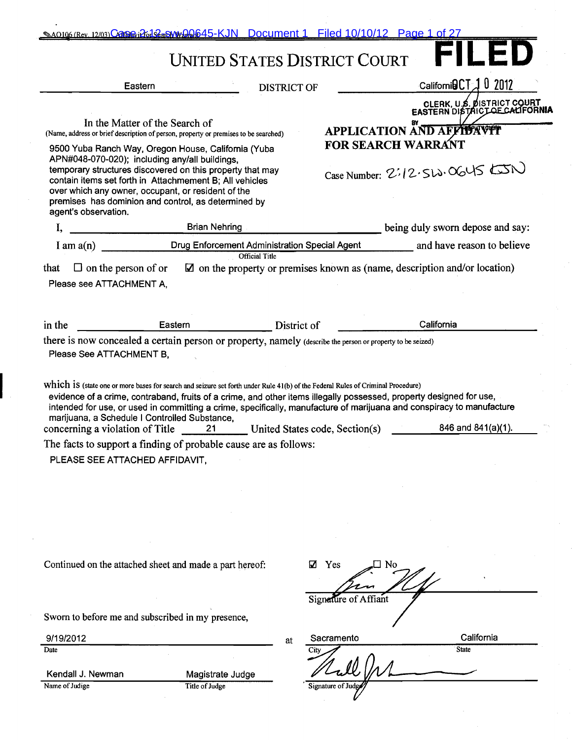|                                    |                                                                                                                                                                                                                                                                                                                                                                                                                                   |                                                                                                                                                                                                                                                                          | <b>UNITED STATES DISTRICT COURT</b> | $\Box$ and                                                                                                                                                                                                                                                         |
|------------------------------------|-----------------------------------------------------------------------------------------------------------------------------------------------------------------------------------------------------------------------------------------------------------------------------------------------------------------------------------------------------------------------------------------------------------------------------------|--------------------------------------------------------------------------------------------------------------------------------------------------------------------------------------------------------------------------------------------------------------------------|-------------------------------------|--------------------------------------------------------------------------------------------------------------------------------------------------------------------------------------------------------------------------------------------------------------------|
|                                    | Eastern                                                                                                                                                                                                                                                                                                                                                                                                                           | <b>DISTRICT OF</b>                                                                                                                                                                                                                                                       |                                     | Californi $\mathsf{BCT} \mathcal{A}$ 0 2012                                                                                                                                                                                                                        |
|                                    | In the Matter of the Search of                                                                                                                                                                                                                                                                                                                                                                                                    |                                                                                                                                                                                                                                                                          |                                     | CLERK, U.S. DISTRICT COURT<br>EASTERN DISTRICT OF CALIFORNIA<br>APPLICATION AND AFFIDAVIT                                                                                                                                                                          |
| agent's observation.               | (Name, address or brief description of person, property or premises to be searched)<br>9500 Yuba Ranch Way, Oregon House, California (Yuba<br>APN#048-070-020); including any/all buildings,<br>temporary structures discovered on this property that may<br>contain items set forth in Attachmement B; All vehicles<br>over which any owner, occupant, or resident of the<br>premises has dominion and control, as determined by |                                                                                                                                                                                                                                                                          | <b>FOR SEARCH WARRANT</b>           | Case Number: 2:12.512.0645                                                                                                                                                                                                                                         |
| I,                                 |                                                                                                                                                                                                                                                                                                                                                                                                                                   | <b>Brian Nehring</b>                                                                                                                                                                                                                                                     |                                     | being duly sworn depose and say:                                                                                                                                                                                                                                   |
|                                    |                                                                                                                                                                                                                                                                                                                                                                                                                                   | <b>Official Title</b>                                                                                                                                                                                                                                                    |                                     | Drug Enforcement Administration Special Agent ___________ and have reason to believe                                                                                                                                                                               |
| Please see ATTACHMENT A,           |                                                                                                                                                                                                                                                                                                                                                                                                                                   |                                                                                                                                                                                                                                                                          |                                     |                                                                                                                                                                                                                                                                    |
| in the<br>Please See ATTACHMENT B. | <b>Eastern Example 2004</b>                                                                                                                                                                                                                                                                                                                                                                                                       | District of<br>there is now concealed a certain person or property, namely (describe the person or property to be seized)                                                                                                                                                |                                     | California                                                                                                                                                                                                                                                         |
|                                    | marijuana, a Schedule I Controlled Substance,<br>PLEASE SEE ATTACHED AFFIDAVIT,                                                                                                                                                                                                                                                                                                                                                   | Which is (state one or more bases for search and seizure set forth under Rule 41(b) of the Federal Rules of Criminal Procedure)<br>concerning a violation of Title 21 United States code, Section(s)<br>The facts to support a finding of probable cause are as follows: |                                     | evidence of a crime, contraband, fruits of a crime, and other items illegally possessed, property designed for use,<br>intended for use, or used in committing a crime, specifically, manufacture of marijuana and conspiracy to manufacture<br>846 and 841(a)(1). |
|                                    | Continued on the attached sheet and made a part hereof:                                                                                                                                                                                                                                                                                                                                                                           | ☑                                                                                                                                                                                                                                                                        | Yes                                 |                                                                                                                                                                                                                                                                    |
|                                    | Sworn to before me and subscribed in my presence,                                                                                                                                                                                                                                                                                                                                                                                 |                                                                                                                                                                                                                                                                          | Signature of Affiant                |                                                                                                                                                                                                                                                                    |
| 9/19/2012                          |                                                                                                                                                                                                                                                                                                                                                                                                                                   | at                                                                                                                                                                                                                                                                       | Sacramento                          | California                                                                                                                                                                                                                                                         |
| Date                               |                                                                                                                                                                                                                                                                                                                                                                                                                                   |                                                                                                                                                                                                                                                                          | City                                | <b>State</b>                                                                                                                                                                                                                                                       |

 $\hat{\mathcal{A}}$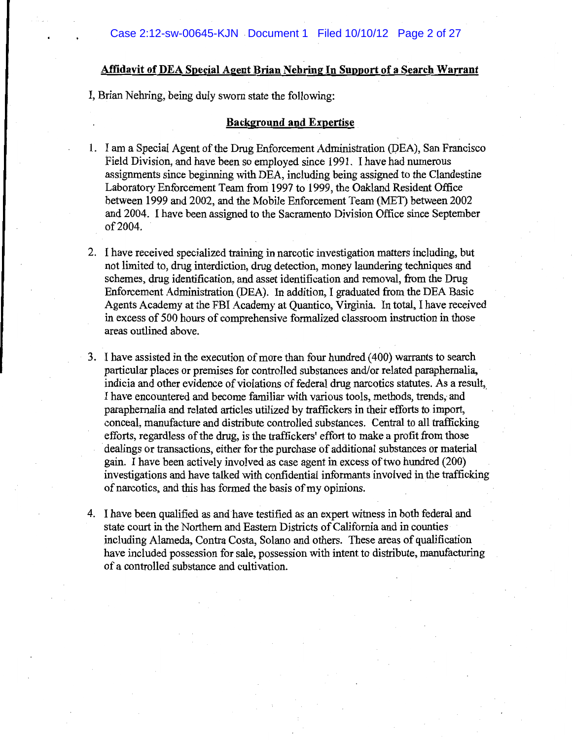### **Affidavit of DEA Special Agent Brian Nebring In Support of a Search Warrant**

I, Brian Nehring, being duly sworn state the following:

#### **Background and Expertise**

- 1. I am a Special Agent of the Drug Enforcement Administration (DEA), San Francisco Field Division, and have been so employed since 1991. I have had numerous assignments since beginning with DEA, including being assigned to the Clandestine Laboratory Enforcement Team from 1997 to 1999, the Oakland Resident Office between 1999 and 2002, and the Mobile Enforcement Team (MET) between 2002 and 2004. I have been assigned to the Sacramento Division Office since September of 2004.
- 2. I have received specialized training in narcotic investigation matters including, but not limited to, drug interdiction, drug detection, money laundering techniques and schemes, drug identification, and asset identification and removal, from the Drug Enforcement Administration (DEA). In addition, I graduated from the DEA Basic Agents Academy at the FBI Academy at Quantico, Virginia. In total, I have received in excess of 500 hours of comprehensive formalized classroom instruction in those areas outlined above.
- 3. I have assisted in the execution of more than four hundred (400) warrants to search particular places or premises for controlled substances and/or related paraphernalia, indicia and other evidence of violations of federal drug narcotics statutes. As a result, I have encountered and become familiar with various tools, methods, trends, and paraphernalia and related articles utilized by traffickers in their efforts to import, conceal, manufacture and distribute controlled substances. Central to all trafficking efforts, regardless of the drug, is the traffickers' effort to make a profit from those dealings or transactions, either for the purchase of additional substances or material gain. I have been actively involved as case agent in excess of two hundred (200) investigations and have talked with confidential informants involved in the trafficking of narcotics, and this has formed the basis of my opinions.
- 4. I have been qualified as and have testified as an expert witness in both federal and state court in the Northern and Eastern Districts of California and in counties including Alameda, Contra Costa, Solano and others. These areas of qualification have included possession for sale, possession with intent to distribute, manufacturing of a controlled substance and cultivation.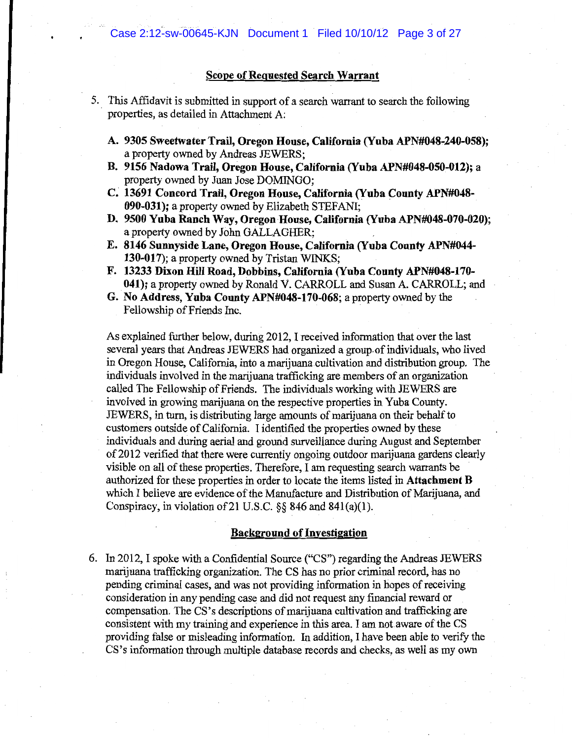### **Scope of Requested Search Warrant**

- 5. This Affidavit is submitted in support of a search warrant to search the following properties, as detailed in Attachment A:
	- A. 9305 Sweetwater Trail, Oregon House, California (Yuba APN#048-240-058); a property owned by Andreas JEWERS;
	- B. 9156 Nadowa Trail, Oregon House, California (Yuba APN#048-050-012); a property owned by Juan Jose DOMINGO;
	- C. 13691 Concord Trail, Oregon House, California (Yuba County APN#048-090-031); a property owned by Elizabeth STEFANI;
	- D. 9500 Yuba Ranch Way, Oregon House, California (Yuba APN#048-070-020); a property owned by John GALLAGHER:
	- E. 8146 Sunnyside Lane, Oregon House, California (Yuba County APN#044-130-017); a property owned by Tristan WINKS;
	- F. 13233 Dixon Hill Road, Dobbins, California (Yuba County APN#048-170-041); a property owned by Ronald V. CARROLL and Susan A. CARROLL; and
	- G. No Address, Yuba County APN#048-170-068; a property owned by the Fellowship of Friends Inc.

As explained further below, during 2012, I received information that over the last several years that Andreas JEWERS had organized a group of individuals, who lived in Oregon House, California, into a marijuana cultivation and distribution group. The individuals involved in the marijuana trafficking are members of an organization called The Fellowship of Friends. The individuals working with JEWERS are involved in growing marijuana on the respective properties in Yuba County. JEWERS, in turn, is distributing large amounts of marijuana on their behalf to customers outside of California. I identified the properties owned by these individuals and during aerial and ground surveillance during August and September of 2012 verified that there were currently ongoing outdoor marijuana gardens clearly visible on all of these properties. Therefore, I am requesting search warrants be authorized for these properties in order to locate the items listed in **Attachment B** which I believe are evidence of the Manufacture and Distribution of Marijuana, and Conspiracy, in violation of 21 U.S.C.  $\S$ § 846 and 841(a)(1).

#### **Background of Investigation**

6. In 2012, I spoke with a Confidential Source ("CS") regarding the Andreas JEWERS marijuana trafficking organization. The CS has no prior criminal record, has no pending criminal cases, and was not providing information in hopes of receiving consideration in any pending case and did not request any financial reward or compensation. The CS's descriptions of marijuana cultivation and trafficking are consistent with my training and experience in this area. I am not aware of the CS providing false or misleading information. In addition, I have been able to verify the CS's information through multiple database records and checks, as well as my own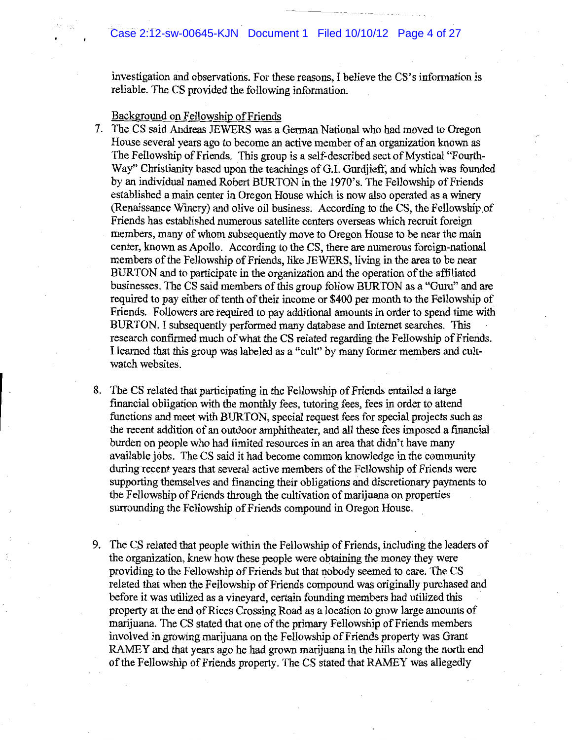# Case 2:12-sw-00645-KJN Document 1 Filed 10/10/12 Page 4 of 27

investigation and observations. For these reasons, I believe the CS's information is reliable. The CS provided the following information.

#### Background on Fellowship of Friends

- 7. The CS said Andreas JEWERS was a German National who had moved to Oregon House several years ago to become an active member of an organization known as The Fellowship of Friends. This group is a self-described sect of Mystical "Fourth-Way" Christianity based upon the teachings of G.I. Gurdjieff, and which was founded by an individual named Robert BURTON in the 1970's. The Fellowship of Friends established a main center in Oregon House which is now also operated as a winery (Renaissance Winery) and olive oil business. According to the CS, the Fellowship of Friends has established numerous satellite centers overseas which recruit foreign members, many of whom subsequently move to Oregon House to be near the main center, known as Apollo. According to the CS, there are numerous foreign-national members of the Fellowship of Friends, like JEWERS, living in the area to be near BURTON and to participate in the organization and the operation of the affiliated businesses. The CS said members of this group follow BURTON as a "Guru" and are required to pay either of tenth of their income or \$400 per month to the Fellowship of Friends. Followers are required to pay additional amounts in order to spend time with BURTON. I subsequently performed many database and Internet searches. This research confirmed much of what the CS related regarding the Fellowship of Friends. I learned that this group was labeled as a "cult" by many former members and cultwatch websites.
- 8. The CS related that participating in the Fellowship of Friends entailed a large financial obligation with the monthly fees, tutoring fees, fees in order to attend functions and meet with BURTON, special request fees for special projects such as the recent addition of an outdoor amphitheater, and all these fees imposed a financial burden on people who had limited resources in an area that didn't have many available jobs. The CS said it had become common knowledge in the community during recent years that several active members of the Fellowship of Friends were supporting themselves and financing their obligations and discretionary payments to the Fellowship of Friends through the cultivation of marijuana on properties surrounding the Fellowship of Friends compound in Oregon House.
- 9. The CS related that people within the Fellowship of Friends, including the leaders of the organization, knew how these people were obtaining the money they were providing to the Fellowship of Friends but that nobody seemed to care. The CS related that when the Fellowship of Friends compound was originally purchased and before it was utilized as a vineyard, certain founding members had utilized this property at the end of Rices Crossing Road as a location to grow large amounts of marijuana. The CS stated that one of the primary Fellowship of Friends members involved in growing marijuana on the Fellowship of Friends property was Grant RAMEY and that years ago he had grown marijuana in the hills along the north end of the Fellowship of Friends property. The CS stated that RAMEY was allegedly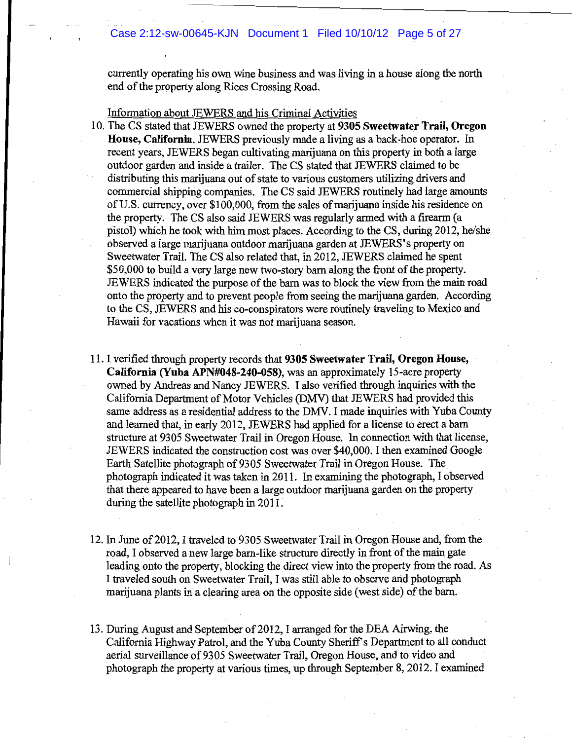currently operating his own wine business and was living in a house along the north end of the property along Rices Crossing Road.

Information about JEWERS and his Criminal Activities

- 10. The CS stated that JEWERS owned the property at 9305 Sweetwater Trail, Oregon House, California. JEWERS previously made a living as a back-hoe operator. In recent years, JEWERS began cultivating marijuana on this property in both a large outdoor garden and inside a trailer. The CS stated that JEWERS claimed to be distributing this marijuana out of state to various customers utilizing drivers and commercial shipping companies. The CS said JEWERS routinely had large amounts of U.S. currency, over \$100,000, from the sales of marijuana inside his residence on the property. The CS also said JEWERS was regularly armed with a firearm (a pistol) which he took with him most places. According to the CS, during 2012, he/she observed a large marijuana outdoor marijuana garden at JEWERS's property on Sweetwater Trail. The CS also related that, in 2012, JEWERS claimed he spent \$50,000 to build a very large new two-story barn along the front of the property. JEWERS indicated the purpose of the barn was to block the view from the main road onto the property and to prevent people from seeing the marijuana garden. According to the CS, JEWERS and his co-conspirators were routinely traveling to Mexico and Hawaii for vacations when it was not marijuana season.
- 11. I verified through property records that 9305 Sweetwater Trail, Oregon House, California (Yuba APN#048-240-058), was an approximately 15-acre property owned by Andreas and Nancy JEWERS. I also verified through inquiries with the California Department of Motor Vehicles (DMV) that JEWERS had provided this same address as a residential address to the DMV. I made inquiries with Yuba County and learned that, in early 2012, JEWERS had applied for a license to erect a barn structure at 9305 Sweetwater Trail in Oregon House. In connection with that license, JEWERS indicated the construction cost was over \$40,000. I then examined Google Earth Satellite photograph of 9305 Sweetwater Trail in Oregon House. The photograph indicated it was taken in 2011. In examining the photograph, I observed that there appeared to have been a large outdoor marijuana garden on the property during the satellite photograph in 2011.
- 12. In June of 2012, I traveled to 9305 Sweetwater Trail in Oregon House and, from the road, I observed a new large barn-like structure directly in front of the main gate leading onto the property, blocking the direct view into the property from the road. As I traveled south on Sweetwater Trail, I was still able to observe and photograph marijuana plants in a clearing area on the opposite side (west side) of the barn.
- 13. During August and September of 2012, I arranged for the DEA Airwing, the California Highway Patrol, and the Yuba County Sheriff's Department to all conduct aerial surveillance of 9305 Sweetwater Trail, Oregon House, and to video and photograph the property at various times, up through September 8, 2012. I examined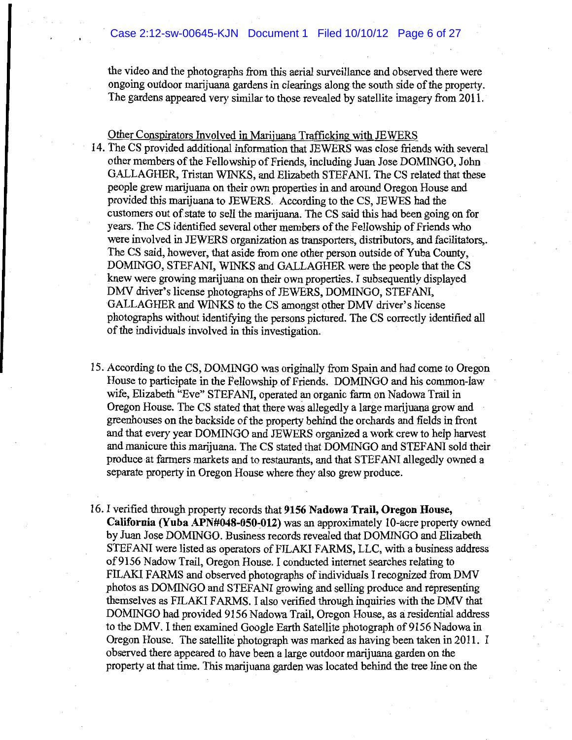the video and the photographs from this aerial surveillance and observed there were ongoing outdoor marijuana gardens in clearings along the south side of the property. The gardens appeared very similar to those revealed by satellite imagery from 2011.

Other Conspirators Involved in Marijuana Trafficking with JEWERS

- 14. The CS provided additional information that JEWERS was close friends with several other members of the Fellowship of Friends, including Juan Jose DOMINGO, John GALLAGHER, Tristan WINKS, and Elizabeth STEFANI. The CS related that these people grew marijuana on their own properties in and around Oregon House and provided this marijuana to JEWERS. According to the CS, JEWES had the customers out of state to sell the marijuana. The CS said this had been going on for years. The CS identified several other members of the Fellowship of Friends who were involved in JEWERS organization as transporters, distributors, and facilitators,. The CS said, however, that aside from one other person outside of Yuba County, DOMINGO, STEFANI, WINKS and GALLAGHER were the people that the CS knew were growing marijuana on their own properties. I subsequently displayed DMV driver's license photographs of JEWERS, DOMINGO, STEFANI, GALLAGHER and WINKS to the CS amongst other DMV driver's license photographs without identifying the persons pictured. The CS correctly identified all of the individuals involved in this investigation.
- 15. According to the CS, DOMINGO was originally from Spain and had come to Oregon House to participate in the Fellowship of Friends. DOMINGO and his common-law wife, Elizabeth "Eve" STEFANI, operated an organic farm on Nadowa Trail in Oregon House. The CS stated that there was allegedly a large marijuana grow and greenhouses on the backside of the property behind the orchards and fields in front and that every year DOMINGO and JEWERS organized a work crew to help harvest and manicure this marijuana. The CS stated that DOMINGO and STEFANI sold their produce at farmers markets and to restaurants, and that STEFANI allegedly owned a separate property in Oregon House where they also grew produce.
- 16. I verified through property records that 9156 Nadowa Trail, Oregon House, California (Yuba APN#048-050-012) was an approximately 10-acre property owned by Juan Jose DOMINGO. Business records revealed that DOMINGO and Elizabeth STEFANI were listed as operators of FILAKI FARMS, LLC, with a business address of 9156 Nadow Trail, Oregon House. I conducted internet searches relating to FILAKI FARMS and observed photographs of individuals I recognized from DMV photos as DOMINGO and STEFANI growing and selling produce and representing themselves as FILAKI FARMS. I also verified through inquiries with the DMV that DOMINGO had provided 9156 Nadowa Trail, Oregon House, as a residential address to the DMV. I then examined Google Earth Satellite photograph of 9156 Nadowa in Oregon House. The satellite photograph was marked as having been taken in 2011. I observed there appeared to have been a large outdoor marijuana garden on the property at that time. This marijuana garden was located behind the tree line on the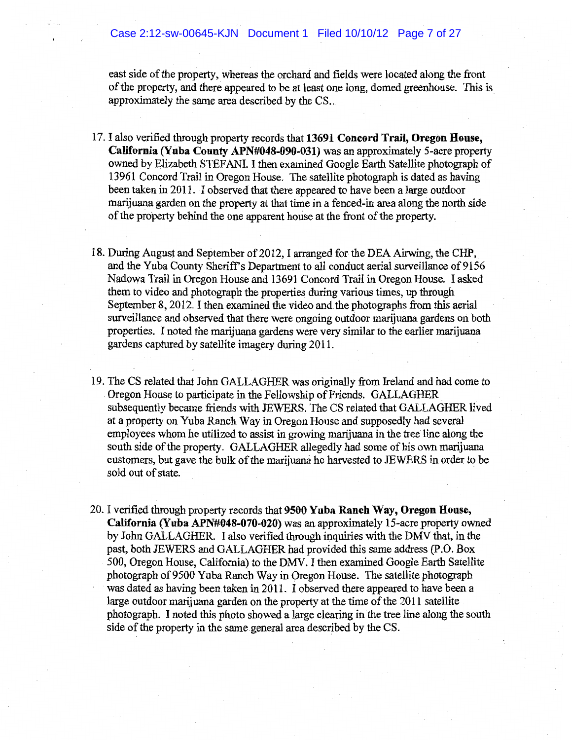east side of the property, whereas the orchard and fields were located along the front of the property, and there appeared to be at least one long, domed greenhouse. This is approximately the same area described by the CS.

- 17. I also verified through property records that 13691 Concord Trail, Oregon House, California (Yuba County APN#048-090-031) was an approximately 5-acre property owned by Elizabeth STEFANI. I then examined Google Earth Satellite photograph of 13961 Concord Trail in Oregon House. The satellite photograph is dated as having been taken in 2011. I observed that there appeared to have been a large outdoor marijuana garden on the property at that time in a fenced-in area along the north side of the property behind the one apparent house at the front of the property.
- 18. During August and September of 2012. I arranged for the DEA Airwing, the CHP, and the Yuba County Sheriff's Department to all conduct aerial surveillance of 9156 Nadowa Trail in Oregon House and 13691 Concord Trail in Oregon House. I asked them to video and photograph the properties during various times, up through September 8, 2012. I then examined the video and the photographs from this aerial surveillance and observed that there were ongoing outdoor marijuana gardens on both properties. I noted the marijuana gardens were very similar to the earlier marijuana gardens captured by satellite imagery during 2011.
- 19. The CS related that John GALLAGHER was originally from Ireland and had come to Oregon House to participate in the Fellowship of Friends. GALLAGHER subsequently became friends with JEWERS. The CS related that GALLAGHER lived at a property on Yuba Ranch Way in Oregon House and supposedly had several employees whom he utilized to assist in growing marijuana in the tree line along the south side of the property. GALLAGHER allegedly had some of his own marijuana customers, but gave the bulk of the marijuana he harvested to JEWERS in order to be sold out of state.
- 20. I verified through property records that 9500 Yuba Ranch Way, Oregon House, California (Yuba APN#048-070-020) was an approximately 15-acre property owned by John GALLAGHER. I also verified through inquiries with the DMV that, in the past, both JEWERS and GALLAGHER had provided this same address (P.O. Box 500, Oregon House, California) to the DMV. I then examined Google Earth Satellite photograph of 9500 Yuba Ranch Way in Oregon House. The satellite photograph was dated as having been taken in 2011. I observed there appeared to have been a large outdoor marijuana garden on the property at the time of the 2011 satellite photograph. I noted this photo showed a large clearing in the tree line along the south side of the property in the same general area described by the CS.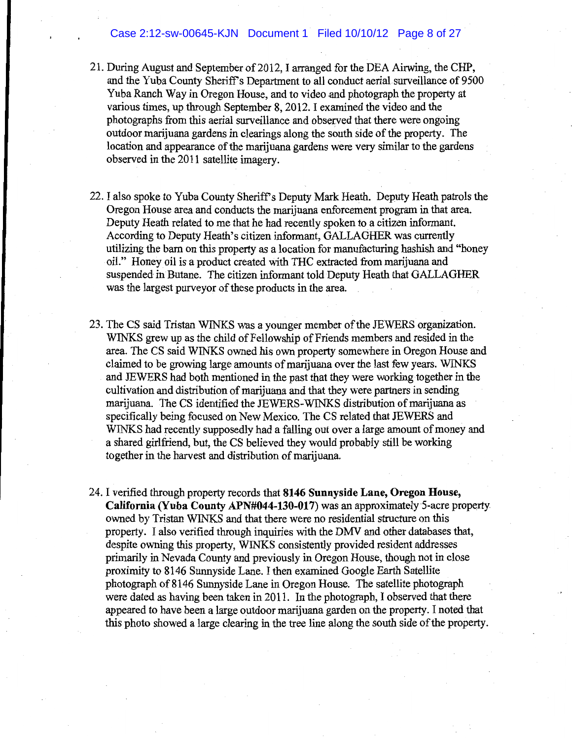### Case 2:12-sw-00645-KJN Document 1 Filed 10/10/12 Page 8 of 27

- 21. During August and September of 2012, I arranged for the DEA Airwing, the CHP, and the Yuba County Sheriff's Department to all conduct aerial surveillance of 9500 Yuba Ranch Way in Oregon House, and to video and photograph the property at various times, up through September 8, 2012. I examined the video and the photographs from this aerial surveillance and observed that there were ongoing outdoor marijuana gardens in clearings along the south side of the property. The location and appearance of the marijuana gardens were very similar to the gardens observed in the 2011 satellite imagery.
- 22. I also spoke to Yuba County Sheriff's Deputy Mark Heath. Deputy Heath patrols the Oregon House area and conducts the marijuana enforcement program in that area. Deputy Heath related to me that he had recently spoken to a citizen informant. According to Deputy Heath's citizen informant, GALLAGHER was currently utilizing the barn on this property as a location for manufacturing hashish and "honey oil." Honey oil is a product created with THC extracted from marijuana and suspended in Butane. The citizen informant told Deputy Heath that GALLAGHER was the largest purvey or of these products in the area.
- 23. The CS said Tristan WINKS was a younger member of the JEWERS organization. WINKS grew up as the child of Fellowship of Friends members and resided in the area. The CS said WINKS owned his own property somewhere in Oregon House and claimed to be growing large amounts of marijuana over the last few years. WINKS and JEWERS had both mentioned in the past that they were working together in the cultivation and distribution of marijuana and that they were partners in sending marijuana. The CS identified the JEWERS-WINKS distribution of marijuana as specifically being focused on New Mexico. The CS related that JEWERS and WINKS had recently supposedly had a falling out over a large amount of money and a shared girlfriend, but, the CS believed they would probably still be working together in the harvest and distribution of marijuana.
- 24. I verified through property records that 8146 Sunnyside Lane, Oregon House, California (Yuba County APN#044-130-017) was an approximately 5-acre property owned by Tristan WINKS and that there were no residential structure on this property. I also verified through inquiries with the DMV and other databases that, despite owning this property, WINKS consistently provided resident addresses primarily in Nevada County and previously in Oregon House, though not in close proximity to 8146 Sunnyside Lane. I then examined Google Earth Satellite photograph of 8146 Sunnyside Lane in Oregon House. The satellite photograph were dated as having been taken in 2011. In the photograph, I observed that there appeared to have been a large outdoor marijuana garden on the property. I noted that this photo showed a large clearing in the tree line along the south side of the property.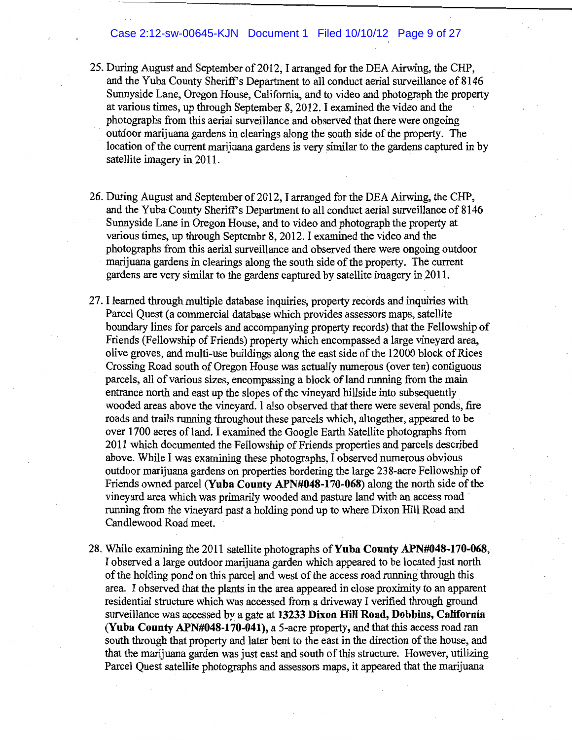### Case 2:12-sw-00645-KJN Document 1 Filed 10/10/12 Page 9 of 27

- 25. During August and September of 2012, I arranged for the DEA Airwing, the CHP, and the Yuba County Sheriff's Department to all conduct aerial surveillance of 8146 Sunnyside Lane, Oregon House, California, and to video and photograph the property at various times, up through September 8, 2012. I examined the video and the photographs from this aerial surveillance and observed that there were ongoing outdoor marijuana gardens in clearings along the south side of the property. The location of the current marijuana gardens is very similar to the gardens captured in by satellite imagery in 2011.
- 26. During August and September of 2012, I arranged for the DEA Airwing, the CHP, and the Yuba County Sheriff's Department to all conduct aerial surveillance of 8146 Sunnyside Lane in Oregon House, and to video and photograph the property at various times, up through Septembr 8, 2012. I examined the video and the photographs from this aerial surveillance and observed there were ongoing outdoor marijuana gardens in clearings along the south side of the property. The current gardens are very similar to the gardens captured by satellite imagery in 2011.
- 27. I learned through multiple database inquiries, property records and inquiries with Parcel Quest (a commercial database which provides assessors maps, satellite boundary lines for parcels and accompanying property records) that the Fellowship of Friends (Fellowship of Friends) property which encompassed a large vineyard area. olive groves, and multi-use buildings along the east side of the 12000 block of Rices Crossing Road south of Oregon House was actually numerous (over ten) contiguous parcels, all of various sizes, encompassing a block of land running from the main entrance north and east up the slopes of the vineyard hillside into subsequently wooded areas above the vineyard. I also observed that there were several ponds, fire roads and trails running throughout these parcels which, altogether, appeared to be over 1700 acres of land. I examined the Google Earth Satellite photographs from 2011 which documented the Fellowship of Friends properties and parcels described above. While I was examining these photographs, I observed numerous obvious outdoor marijuana gardens on properties bordering the large 238-acre Fellowship of Friends owned parcel (Yuba County APN#048-170-068) along the north side of the vineyard area which was primarily wooded and pasture land with an access road running from the vinevard past a holding pond up to where Dixon Hill Road and Candlewood Road meet.
- 28. While examining the 2011 satellite photographs of **Yuba County APN#048-170-068**, I observed a large outdoor marijuana garden which appeared to be located just north of the holding pond on this parcel and west of the access road running through this area. I observed that the plants in the area appeared in close proximity to an apparent residential structure which was accessed from a driveway I verified through ground surveillance was accessed by a gate at 13233 Dixon Hill Road, Dobbins, California (Yuba County APN#048-170-041), a 5-acre property, and that this access road ran south through that property and later bent to the east in the direction of the house, and that the marijuana garden was just east and south of this structure. However, utilizing Parcel Quest satellite photographs and assessors maps, it appeared that the marijuana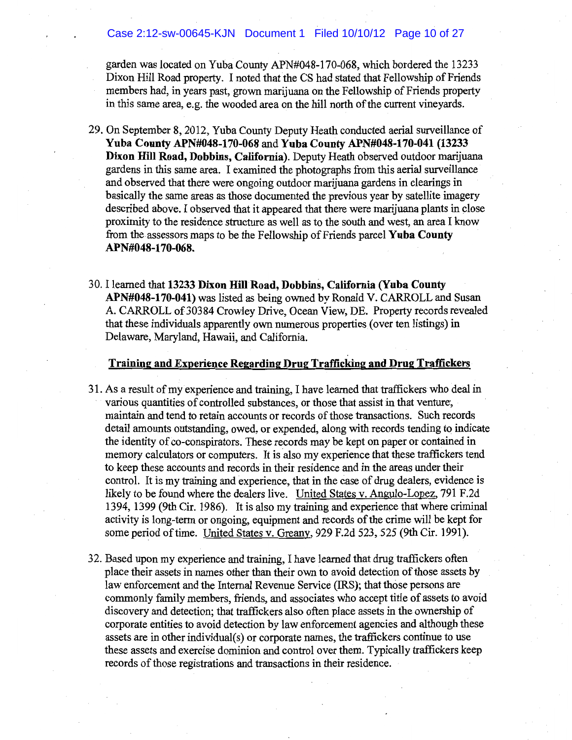### Case 2:12-sw-00645-KJN Document 1 Filed 10/10/12 Page 10 of 27

garden was located on Yuba County APN#048-170-068, which bordered the 13233 Dixon Hill Road property. I noted that the CS had stated that Fellowship of Friends members had, in years past, grown marijuana on the Fellowship of Friends property in this same area, e.g. the wooded area on the hill north of the current vineyards.

- 29. On September 8, 2012, Yuba County Deputy Heath conducted aerial surveillance of Yuba County APN#048-170-068 and Yuba County APN#048-170-041 (13233 Dixon Hill Road, Dobbins, California). Deputy Heath observed outdoor marijuana gardens in this same area. I examined the photographs from this aerial surveillance and observed that there were ongoing outdoor marijuana gardens in clearings in basically the same areas as those documented the previous year by satellite imagery described above. I observed that it appeared that there were marijuana plants in close proximity to the residence structure as well as to the south and west, an area I know from the assessors maps to be the Fellowship of Friends parcel Yuba County APN#048-170-068.
- 30. I learned that 13233 Dixon Hill Road, Dobbins, California (Yuba County APN#048-170-041) was listed as being owned by Ronald V. CARROLL and Susan A. CARROLL of 30384 Crowley Drive, Ocean View, DE. Property records revealed that these individuals apparently own numerous properties (over ten listings) in Delaware, Maryland, Hawaii, and California.

#### Training and Experience Regarding Drug Trafficking and Drug Traffickers

- 31. As a result of my experience and training, I have learned that traffickers who deal in various quantities of controlled substances, or those that assist in that venture, maintain and tend to retain accounts or records of those transactions. Such records detail amounts outstanding, owed, or expended, along with records tending to indicate the identity of co-conspirators. These records may be kept on paper or contained in memory calculators or computers. It is also my experience that these traffickers tend to keep these accounts and records in their residence and in the areas under their control. It is my training and experience, that in the case of drug dealers, evidence is likely to be found where the dealers live. United States v. Angulo-Lopez, 791 F.2d 1394, 1399 (9th Cir. 1986). It is also my training and experience that where criminal activity is long-term or ongoing, equipment and records of the crime will be kept for some period of time. United States v. Greany, 929 F.2d 523, 525 (9th Cir. 1991).
- 32. Based upon my experience and training, I have learned that drug traffickers often place their assets in names other than their own to avoid detection of those assets by law enforcement and the Internal Revenue Service (IRS); that those persons are commonly family members, friends, and associates who accept title of assets to avoid discovery and detection; that traffickers also often place assets in the ownership of corporate entities to avoid detection by law enforcement agencies and although these assets are in other individual(s) or corporate names, the traffickers continue to use these assets and exercise dominion and control over them. Typically traffickers keep records of those registrations and transactions in their residence.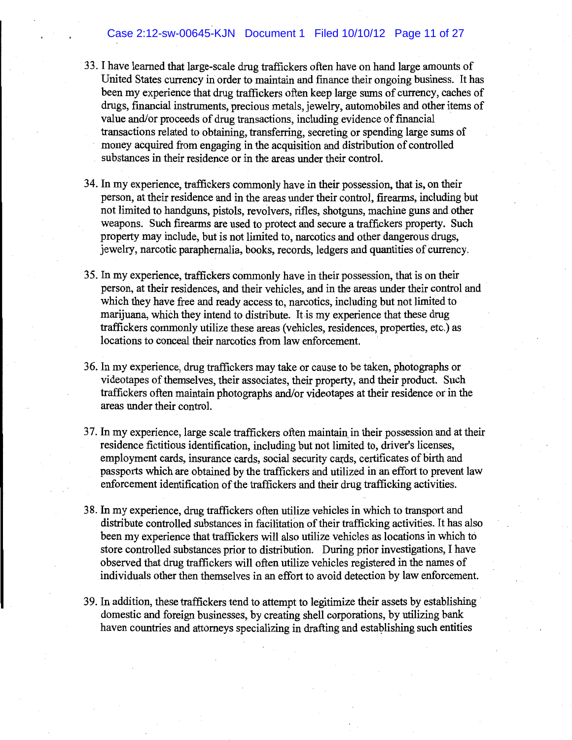## Case 2:12-sw-00645-KJN Document 1 Filed 10/10/12 Page 11 of 27

- 33. I have learned that large-scale drug traffickers often have on hand large amounts of United States currency in order to maintain and finance their ongoing business. It has been my experience that drug traffickers often keep large sums of currency, caches of drugs, financial instruments, precious metals, jewelry, automobiles and other items of value and/or proceeds of drug transactions, including evidence of financial transactions related to obtaining, transferring, secreting or spending large sums of money acquired from engaging in the acquisition and distribution of controlled substances in their residence or in the areas under their control.
- 34. In my experience, traffickers commonly have in their possession, that is, on their person, at their residence and in the areas under their control, firearms, including but not limited to handguns, pistols, revolvers, rifles, shotguns, machine guns and other weapons. Such firearms are used to protect and secure a traffickers property. Such property may include, but is not limited to, narcotics and other dangerous drugs, jewelry, narcotic paraphernalia, books, records, ledgers and quantities of currency.
- 35. In my experience, traffickers commonly have in their possession, that is on their person, at their residences, and their vehicles, and in the areas under their control and which they have free and ready access to, narcotics, including but not limited to marijuana, which they intend to distribute. It is my experience that these drug traffickers commonly utilize these areas (vehicles, residences, properties, etc.) as locations to conceal their narcotics from law enforcement.
- 36. In my experience, drug traffickers may take or cause to be taken, photographs or videotapes of themselves, their associates, their property, and their product. Such traffickers often maintain photographs and/or videotapes at their residence or in the areas under their control.
- 37. In my experience, large scale traffickers often maintain in their possession and at their residence fictitious identification, including but not limited to, driver's licenses, employment cards, insurance cards, social security cards, certificates of birth and passports which are obtained by the traffickers and utilized in an effort to prevent law enforcement identification of the traffickers and their drug trafficking activities.
- 38. In my experience, drug traffickers often utilize vehicles in which to transport and distribute controlled substances in facilitation of their trafficking activities. It has also been my experience that traffickers will also utilize vehicles as locations in which to store controlled substances prior to distribution. During prior investigations, I have observed that drug traffickers will often utilize vehicles registered in the names of individuals other then themselves in an effort to avoid detection by law enforcement.
- 39. In addition, these traffickers tend to attempt to legitimize their assets by establishing domestic and foreign businesses, by creating shell corporations, by utilizing bank haven countries and attorneys specializing in drafting and establishing such entities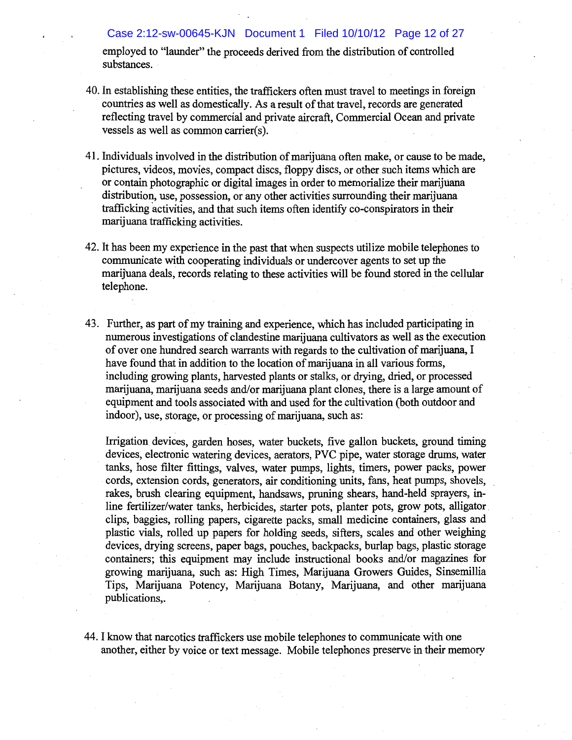employed to "launder" the proceeds derived from the distribution of controlled substances.

Case 2:12-sw-00645-KJN Document 1 Filed 10/10/12 Page 12 of 27

- 40. In establishing these entities, the traffickers often must travel to meetings in foreign countries as well as domestically. As a result of that travel, records are generated reflecting travel by commercial and private aircraft, Commercial Ocean and private vessels as well as common carrier(s).
- 41. Individuals involved in the distribution of marijuana often make, or cause to be made, pictures, videos, movies, compact discs, floppy discs, or other such items which are or contain photographic or digital images in order to memorialize their marijuana distribution, use, possession, or any other activities surrounding their marijuana trafficking activities, and that such items often identify co-conspirators in their marijuana trafficking activities.
- 42. It has been my experience in the past that when suspects utilize mobile telephones to communicate with cooperating individuals or undercover agents to set up the marijuana deals, records relating to these activities will be found stored in the cellular telephone.
- 43. Further, as part of my training and experience, which has included participating in numerous investigations of clandestine marijuana cultivators as well as the execution of over one hundred search warrants with regards to the cultivation of marijuana, I have found that in addition to the location of marijuana in all various forms, including growing plants, harvested plants or stalks, or drying, dried, or processed marijuana, marijuana seeds and/or marijuana plant clones, there is a large amount of equipment and tools associated with and used for the cultivation (both outdoor and indoor), use, storage, or processing of marijuana, such as:

Irrigation devices, garden hoses, water buckets, five gallon buckets, ground timing devices, electronic watering devices, aerators, PVC pipe, water storage drums, water tanks, hose filter fittings, valves, water pumps, lights, timers, power packs, power cords, extension cords, generators, air conditioning units, fans, heat pumps, shovels, rakes, brush clearing equipment, handsaws, pruning shears, hand-held sprayers, inline fertilizer/water tanks, herbicides, starter pots, planter pots, grow pots, alligator clips, baggies, rolling papers, cigarette packs, small medicine containers, glass and plastic vials, rolled up papers for holding seeds, sifters, scales and other weighing devices, drying screens, paper bags, pouches, backpacks, burlap bags, plastic storage containers; this equipment may include instructional books and/or magazines for growing marijuana, such as: High Times, Marijuana Growers Guides, Sinsemillia Tips, Marijuana Potency, Marijuana Botany, Marijuana, and other marijuana publications...

44. I know that narcotics traffickers use mobile telephones to communicate with one another, either by voice or text message. Mobile telephones preserve in their memory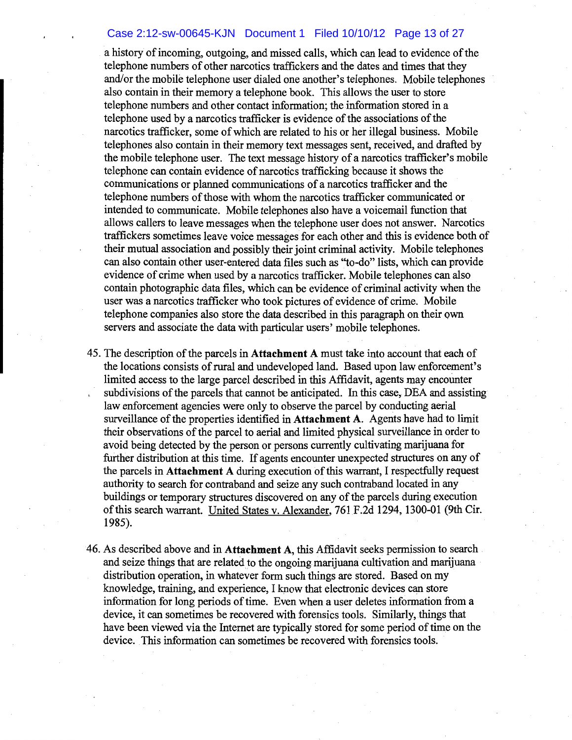## Case 2:12-sw-00645-KJN Document 1 Filed 10/10/12 Page 13 of 27

a history of incoming, outgoing, and missed calls, which can lead to evidence of the telephone numbers of other narcotics traffickers and the dates and times that they and/or the mobile telephone user dialed one another's telephones. Mobile telephones also contain in their memory a telephone book. This allows the user to store telephone numbers and other contact information; the information stored in a telephone used by a narcotics trafficker is evidence of the associations of the narcotics trafficker, some of which are related to his or her illegal business. Mobile telephones also contain in their memory text messages sent, received, and drafted by the mobile telephone user. The text message history of a narcotics trafficker's mobile telephone can contain evidence of narcotics trafficking because it shows the communications or planned communications of a narcotics trafficker and the telephone numbers of those with whom the narcotics trafficker communicated or intended to communicate. Mobile telephones also have a voicemail function that allows callers to leave messages when the telephone user does not answer. Narcotics traffickers sometimes leave voice messages for each other and this is evidence both of their mutual association and possibly their joint criminal activity. Mobile telephones can also contain other user-entered data files such as "to-do" lists, which can provide evidence of crime when used by a narcotics trafficker. Mobile telephones can also contain photographic data files, which can be evidence of criminal activity when the user was a narcotics trafficker who took pictures of evidence of crime. Mobile telephone companies also store the data described in this paragraph on their own servers and associate the data with particular users' mobile telephones.

- 45. The description of the parcels in Attachment A must take into account that each of the locations consists of rural and undeveloped land. Based upon law enforcement's limited access to the large parcel described in this Affidavit, agents may encounter subdivisions of the parcels that cannot be anticipated. In this case, DEA and assisting law enforcement agencies were only to observe the parcel by conducting aerial surveillance of the properties identified in **Attachment A**. Agents have had to limit their observations of the parcel to aerial and limited physical surveillance in order to avoid being detected by the person or persons currently cultivating marijuana for further distribution at this time. If agents encounter unexpected structures on any of the parcels in **Attachment** A during execution of this warrant, I respectfully request authority to search for contraband and seize any such contraband located in any buildings or temporary structures discovered on any of the parcels during execution of this search warrant. United States v. Alexander, 761 F.2d 1294, 1300-01 (9th Cir. 1985).
- 46. As described above and in Attachment A, this Affidavit seeks permission to search and seize things that are related to the ongoing marijuana cultivation and marijuana distribution operation, in whatever form such things are stored. Based on my knowledge, training, and experience, I know that electronic devices can store information for long periods of time. Even when a user deletes information from a device, it can sometimes be recovered with forentics tools. Similarly, things that have been viewed via the Internet are typically stored for some period of time on the device. This information can sometimes be recovered with forensics tools.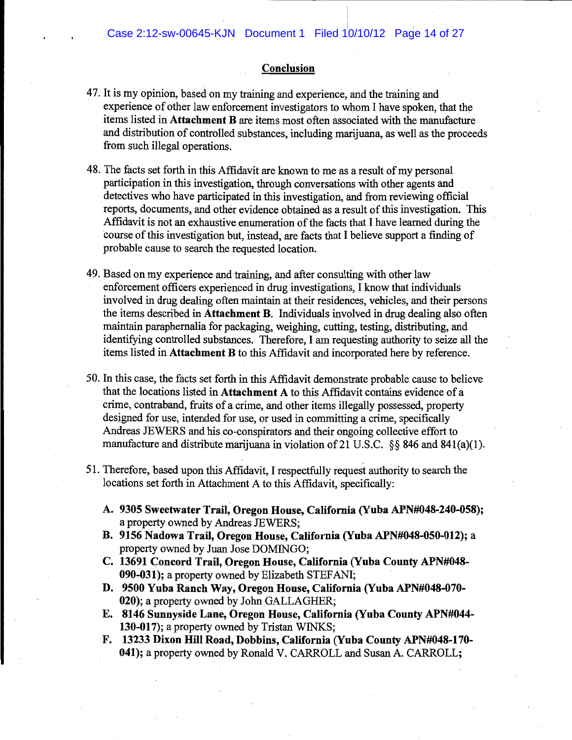### Conclusion

- 47. It is my opinion, based on my training and experience, and the training and experience of other law enforcement investigators to whom I have spoken, that the items listed in **Attachment B** are items most often associated with the manufacture and distribution of controlled substances, including marijuana, as well as the proceeds from such illegal operations.
- 48. The facts set forth in this Affidavit are known to me as a result of my personal participation in this investigation, through conversations with other agents and detectives who have participated in this investigation, and from reviewing official reports, documents, and other evidence obtained as a result of this investigation. This Affidavit is not an exhaustive enumeration of the facts that I have learned during the course of this investigation but, instead, are facts that I believe support a finding of probable cause to search the requested location.
- 49. Based on my experience and training, and after consulting with other law enforcement officers experienced in drug investigations, I know that individuals involved in drug dealing often maintain at their residences, vehicles, and their persons the items described in Attachment B. Individuals involved in drug dealing also often maintain paraphernalia for packaging, weighing, cutting, testing, distributing, and identifying controlled substances. Therefore, I am requesting authority to seize all the items listed in Attachment B to this Affidavit and incorporated here by reference.
- 50. In this case, the facts set forth in this Affidavit demonstrate probable cause to believe that the locations listed in **Attachment** A to this Affidavit contains evidence of a crime, contraband, fruits of a crime, and other items illegally possessed, property designed for use, intended for use, or used in committing a crime, specifically Andreas JEWERS and his co-conspirators and their ongoing collective effort to manufacture and distribute marijuana in violation of 21 U.S.C. §§ 846 and 841(a)(1).
- 51. Therefore, based upon this Affidavit, I respectfully request authority to search the locations set forth in Attachment A to this Affidavit, specifically:
	- A. 9305 Sweetwater Trail, Oregon House, California (Yuba APN#048-240-058); a property owned by Andreas JEWERS;
	- B. 9156 Nadowa Trail, Oregon House, California (Yuba APN#048-050-012); a property owned by Juan Jose DOMINGO;
	- C. 13691 Concord Trail, Oregon House, California (Yuba County APN#048-090-031); a property owned by Elizabeth STEFANI;
	- D. 9500 Yuba Ranch Way, Oregon House, California (Yuba APN#048-070-020); a property owned by John GALLAGHER;
	- E. 8146 Sunnyside Lane, Oregon House, California (Yuba County APN#044-130-017); a property owned by Tristan WINKS;
	- F. 13233 Dixon Hill Road, Dobbins, California (Yuba County APN#048-170-041); a property owned by Ronald V. CARROLL and Susan A. CARROLL;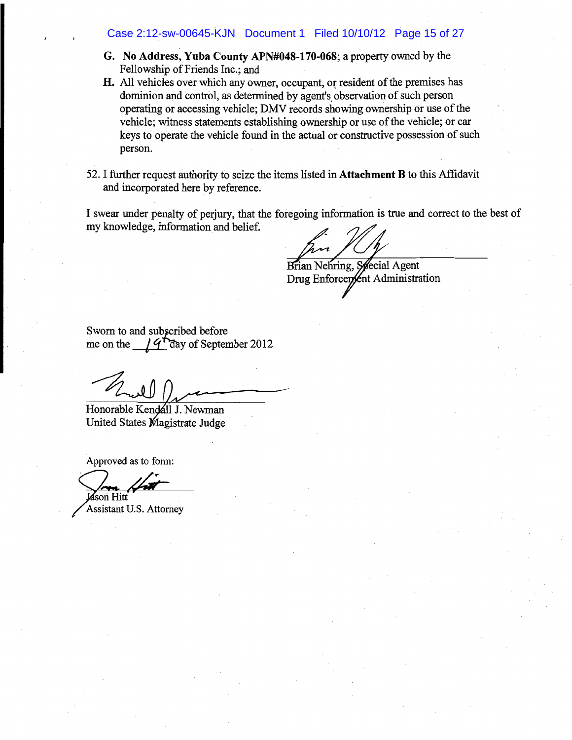### Case 2:12-sw-00645-KJN Document 1 Filed 10/10/12 Page 15 of 27

- G. No Address, Yuba County APN#048-170-068; a property owned by the Fellowship of Friends Inc.; and
- H. All vehicles over which any owner, occupant, or resident of the premises has dominion and control, as determined by agent's observation of such person operating or accessing vehicle; DMV records showing ownership or use of the vehicle; witness statements establishing ownership or use of the vehicle; or car keys to operate the vehicle found in the actual or constructive possession of such person.
- 52. I further request authority to seize the items listed in Attachment B to this Affidavit and incorporated here by reference.

I swear under penalty of perjury, that the foregoing information is true and correct to the best of my knowledge, information and belief.

Brian Nehring, Special Agent Drug Enforcement Administration

Sworn to and subscribed before me on the  $14$  day of September 2012

Honorable Kendáll J. Newman United States Magistrate Judge

Approved as to form:

Jason Hitt

Assistant U.S. Attorney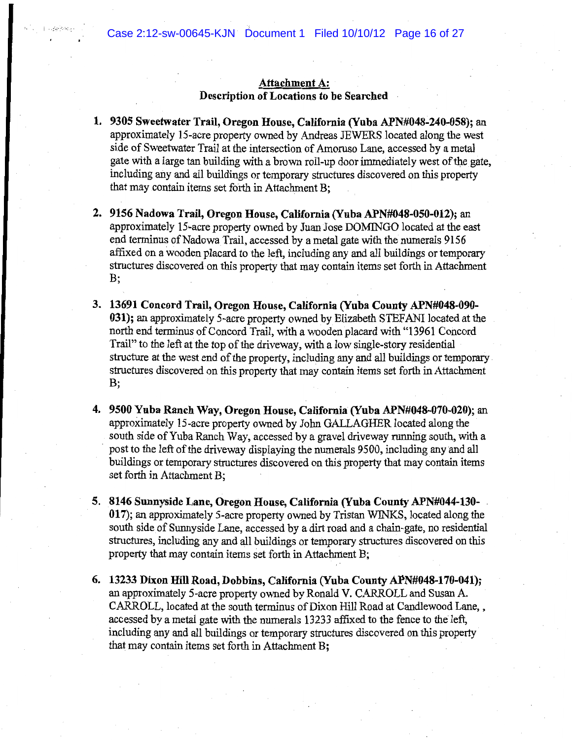## Attachment A: Description of Locations to be Searched

- 1. 9305 Sweetwater Trail, Oregon House, California (Yuba APN#048-240-058); an approximately 15-acre property owned by Andreas JEWERS located along the west side of Sweetwater Trail at the intersection of Amoruso Lane, accessed by a metal gate with a large tan building with a brown roll-up door immediately west of the gate, including any and all buildings or temporary structures discovered on this property that may contain items set forth in Attachment B:
- 2. 9156 Nadowa Trail, Oregon House, California (Yuba APN#048-050-012); an approximately 15-acre property owned by Juan Jose DOMINGO located at the east end terminus of Nadowa Trail, accessed by a metal gate with the numerals 9156 affixed on a wooden placard to the left, including any and all buildings or temporary structures discovered on this property that may contain items set forth in Attachment B;
- 3. 13691 Concord Trail, Oregon House, California (Yuba County APN#048-090-031); an approximately 5-acre property owned by Elizabeth STEFANI located at the north end terminus of Concord Trail, with a wooden placard with "13961 Concord Trail" to the left at the top of the driveway, with a low single-story residential structure at the west end of the property, including any and all buildings or temporary structures discovered on this property that may contain items set forth in Attachment  $B$
- 4. 9500 Yuba Ranch Way, Oregon House, California (Yuba APN#048-070-020); an approximately 15-acre property owned by John GALLAGHER located along the south side of Yuba Ranch Way, accessed by a gravel driveway running south, with a post to the left of the driveway displaying the numerals 9500, including any and all buildings or temporary structures discovered on this property that may contain items set forth in Attachment B;
- 5. 8146 Sunnyside Lane, Oregon House, California (Yuba County APN#044-130-017); an approximately 5-acre property owned by Tristan WINKS, located along the south side of Sunnyside Lane, accessed by a dirt road and a chain-gate, no residential structures, including any and all buildings or temporary structures discovered on this property that may contain items set forth in Attachment B;
- 6. 13233 Dixon Hill Road, Dobbins, California (Yuba County APN#048-170-041); an approximately 5-acre property owned by Ronald V. CARROLL and Susan A. CARROLL, located at the south terminus of Dixon Hill Road at Candlewood Lane,, accessed by a metal gate with the numerals 13233 affixed to the fence to the left, including any and all buildings or temporary structures discovered on this property that may contain items set forth in Attachment B;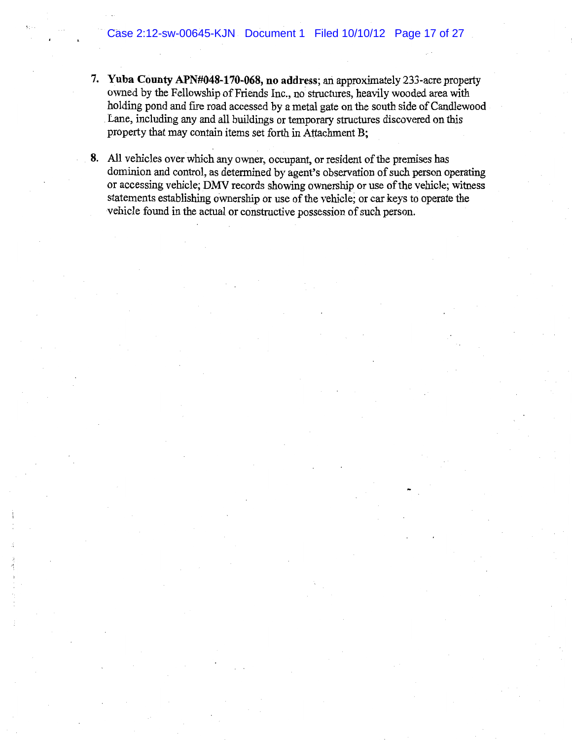- 7. Yuba County APN#048-170-068, no address; an approximately 233-acre property owned by the Fellowship of Friends Inc., no structures, heavily wooded area with holding pond and fire road accessed by a metal gate on the south side of Candlewood Lane, including any and all buildings or temporary structures discovered on this property that may contain items set forth in Attachment B;
- 8. All vehicles over which any owner, occupant, or resident of the premises has dominion and control, as determined by agent's observation of such person operating or accessing vehicle; DMV records showing ownership or use of the vehicle; witness statements establishing ownership or use of the vehicle; or car keys to operate the vehicle found in the actual or constructive possession of such person.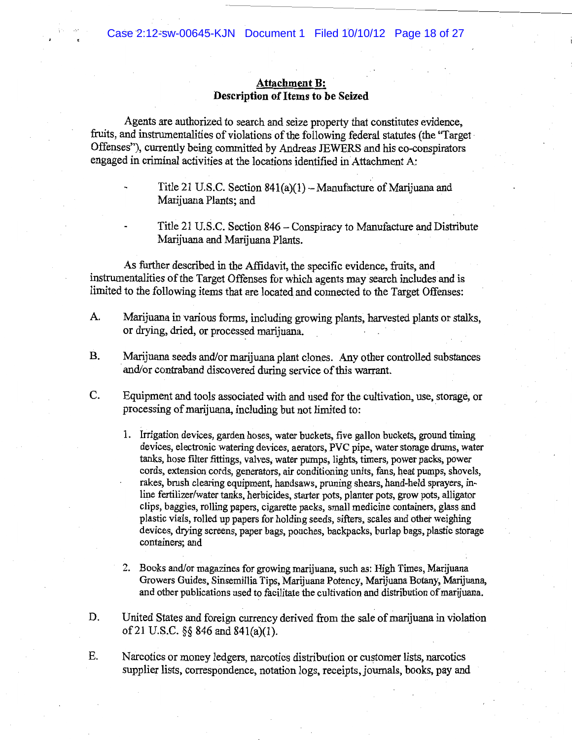## **Attachment B:** Description of Items to be Seized

Agents are authorized to search and seize property that constitutes evidence, fruits, and instrumentalities of violations of the following federal statutes (the "Target Offenses"), currently being committed by Andreas JEWERS and his co-conspirators engaged in criminal activities at the locations identified in Attachment A:

Title 21 U.S.C. Section 846 – Conspiracy to Manufacture and Distribute Marijuana and Marijuana Plants.

As further described in the Affidavit, the specific evidence, fruits, and instrumentalities of the Target Offenses for which agents may search includes and is limited to the following items that are located and connected to the Target Offenses:

- A. Marijuana in various forms, including growing plants, harvested plants or stalks, or drying, dried, or processed marijuana.
- **B.** Marijuana seeds and/or marijuana plant clones. Any other controlled substances and/or contraband discovered during service of this warrant.
- C. Equipment and tools associated with and used for the cultivation, use, storage, or processing of marijuana, including but not limited to:
	- 1. Irrigation devices, garden hoses, water buckets, five gallon buckets, ground timing devices, electronic watering devices, aerators, PVC pipe, water storage drums, water tanks, hose filter fittings, valves, water pumps, lights, timers, power packs, power cords, extension cords, generators, air conditioning units, fans, heat pumps, shovels, rakes, brush clearing equipment, handsaws, pruning shears, hand-held sprayers, inline fertilizer/water tanks, herbicides, starter pots, planter pots, grow pots, alligator clips, baggies, rolling papers, cigarette packs, small medicine containers, glass and plastic vials, rolled up papers for holding seeds, sifters, scales and other weighing devices, drying screens, paper bags, pouches, backpacks, burlap bags, plastic storage containers: and
	- 2. Books and/or magazines for growing marijuana, such as: High Times, Marijuana Growers Guides, Sinsemillia Tips, Marijuana Potency, Marijuana Botany, Marijuana, and other publications used to facilitate the cultivation and distribution of marijuana.
- D. United States and foreign currency derived from the sale of marijuana in violation of 21 U.S.C.  $\S$ § 846 and 841(a)(1).
- Ε. Narcotics or money ledgers, narcotics distribution or customer lists, narcotics supplier lists, correspondence, notation logs, receipts, journals, books, pay and

Title 21 U.S.C. Section  $841(a)(1)$  – Manufacture of Marijuana and Marijuana Plants; and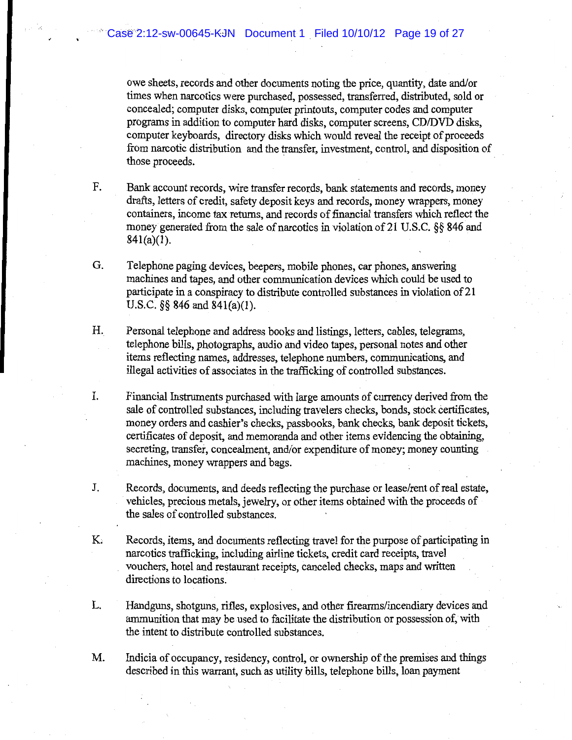owe sheets, records and other documents noting the price, quantity, date and/or times when narcotics were purchased, possessed, transferred, distributed, sold or concealed; computer disks, computer printouts, computer codes and computer programs in addition to computer hard disks, computer screens, CD/DVD disks, computer keyboards, directory disks which would reveal the receipt of proceeds from narcotic distribution and the transfer, investment, control, and disposition of those proceeds.

- F. Bank account records, wire transfer records, bank statements and records, money drafts, letters of credit, safety deposit keys and records, money wrappers, money containers, income tax returns, and records of financial transfers which reflect the money generated from the sale of narcotics in violation of 21 U.S.C.  $\&$  846 and  $841(a)(1)$ .
- G. Telephone paging devices, beepers, mobile phones, car phones, answering machines and tapes, and other communication devices which could be used to participate in a conspiracy to distribute controlled substances in violation of 21 U.S.C.  $\S$ § 846 and 841(a)(1).
- H. Personal telephone and address books and listings, letters, cables, telegrams, telephone bills, photographs, audio and video tapes, personal notes and other items reflecting names, addresses, telephone numbers, communications, and illegal activities of associates in the trafficking of controlled substances.
- I. Financial Instruments purchased with large amounts of currency derived from the sale of controlled substances, including travelers checks, bonds, stock certificates, money orders and cashier's checks, passbooks, bank checks, bank deposit tickets, certificates of deposit, and memoranda and other items evidencing the obtaining, secreting, transfer, concealment, and/or expenditure of money; money counting machines, money wrappers and bags.
- J. Records, documents, and deeds reflecting the purchase or lease/rent of real estate, vehicles, precious metals, jewelry, or other items obtained with the proceeds of the sales of controlled substances.
- K. Records, items, and documents reflecting travel for the purpose of participating in narcotics trafficking, including airline tickets, credit card receipts, travel vouchers, hotel and restaurant receipts, canceled checks, maps and written directions to locations.
- L. Handguns, shotguns, rifles, explosives, and other firearms/incendiary devices and ammunition that may be used to facilitate the distribution or possession of, with the intent to distribute controlled substances.
- M. Indicia of occupancy, residency, control, or ownership of the premises and things described in this warrant, such as utility bills, telephone bills, loan payment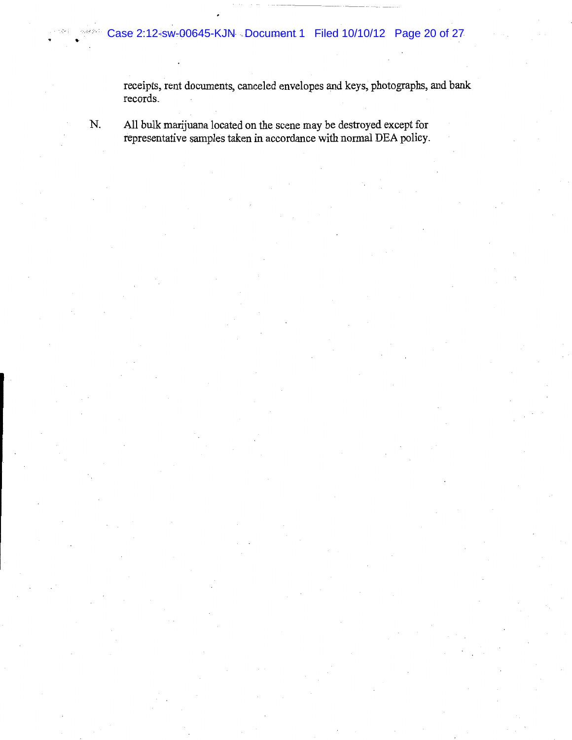receipts, rent documents, canceled envelopes and keys, photographs, and bank records.

N.

All bulk marijuana located on the scene may be destroyed except for representative samples taken in accordance with normal DEA policy.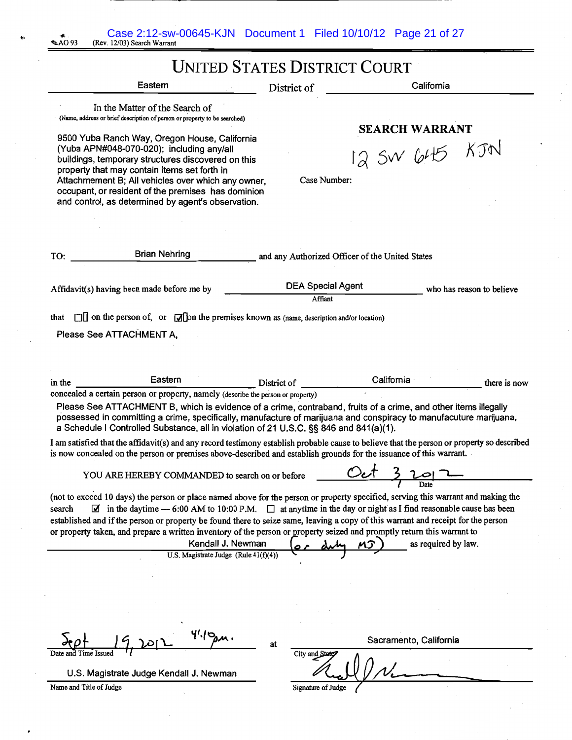| Case 2:12-sw-00645-KJN  Document 1  Filed 10/10/12  Page 21 of 27<br>AO 93،<br>(Rev. 12/03) Search Warrant                                                                                                                                                                                                                                                                                                                                                                                                                                                                                              |                                                 |                                        |
|---------------------------------------------------------------------------------------------------------------------------------------------------------------------------------------------------------------------------------------------------------------------------------------------------------------------------------------------------------------------------------------------------------------------------------------------------------------------------------------------------------------------------------------------------------------------------------------------------------|-------------------------------------------------|----------------------------------------|
|                                                                                                                                                                                                                                                                                                                                                                                                                                                                                                                                                                                                         | <b>UNITED STATES DISTRICT COURT</b>             |                                        |
| Eastern                                                                                                                                                                                                                                                                                                                                                                                                                                                                                                                                                                                                 | District of                                     | California                             |
| In the Matter of the Search of<br>(Name, address or brief description of person or property to be searched)<br>9500 Yuba Ranch Way, Oregon House, California<br>(Yuba APN#048-070-020); including any/all<br>buildings, temporary structures discovered on this<br>property that may contain items set forth in<br>Attachmement B; All vehicles over which any owner,<br>occupant, or resident of the premises has dominion<br>and control, as determined by agent's observation.                                                                                                                       | Case Number:                                    | <b>SEARCH WARRANT</b><br>12 SW 645 KJN |
|                                                                                                                                                                                                                                                                                                                                                                                                                                                                                                                                                                                                         |                                                 |                                        |
| <b>Brian Nehring</b><br>TO:                                                                                                                                                                                                                                                                                                                                                                                                                                                                                                                                                                             | and any Authorized Officer of the United States |                                        |
| Affidavit(s) having been made before me by                                                                                                                                                                                                                                                                                                                                                                                                                                                                                                                                                              | <b>DEA Special Agent</b><br>Affiant             | who has reason to believe              |
| $\Box$ on the person of, or $\Box$ on the premises known as (name, description and/or location)<br>that                                                                                                                                                                                                                                                                                                                                                                                                                                                                                                 |                                                 |                                        |
| Please See ATTACHMENT A,                                                                                                                                                                                                                                                                                                                                                                                                                                                                                                                                                                                |                                                 |                                        |
|                                                                                                                                                                                                                                                                                                                                                                                                                                                                                                                                                                                                         |                                                 |                                        |
| Eastern<br>in the<br>concealed a certain person or property, namely (describe the person or property)<br>Please See ATTACHMENT B, which is evidence of a crime, contraband, fruits of a crime, and other items illegally                                                                                                                                                                                                                                                                                                                                                                                | District of                                     | California<br>there is now             |
| possessed in committing a crime, specifically, manufacture of marijuana and conspiracy to manufacuture marijuana,<br>a Schedule I Controlled Substance, all in violation of 21 U.S.C. §§ 846 and 841(a)(1).                                                                                                                                                                                                                                                                                                                                                                                             |                                                 |                                        |
| I am satisfied that the affidavit(s) and any record testimony establish probable cause to believe that the person or property so described<br>is now concealed on the person or premises above-described and establish grounds for the issuance of this warrant.                                                                                                                                                                                                                                                                                                                                        |                                                 |                                        |
| YOU ARE HEREBY COMMANDED to search on or before                                                                                                                                                                                                                                                                                                                                                                                                                                                                                                                                                         |                                                 |                                        |
| (not to exceed 10 days) the person or place named above for the person or property specified, serving this warrant and making the<br>$\Box$ in the daytime - 6:00 AM to 10:00 P.M. $\Box$ at anytime in the day or night as I find reasonable cause has been<br>search<br>established and if the person or property be found there to seize same, leaving a copy of this warrant and receipt for the person<br>or property taken, and prepare a written inventory of the person or property seized and promptly return this warrant to<br>Kendall J. Newman<br>U.S. Magistrate Judge (Rule $41(f)(4)$ ) |                                                 | as required by law.                    |
|                                                                                                                                                                                                                                                                                                                                                                                                                                                                                                                                                                                                         |                                                 |                                        |
|                                                                                                                                                                                                                                                                                                                                                                                                                                                                                                                                                                                                         |                                                 |                                        |
| 446                                                                                                                                                                                                                                                                                                                                                                                                                                                                                                                                                                                                     | at                                              | Sacramento, California                 |
| U.S. Magistrate Judge Kendall J. Newman                                                                                                                                                                                                                                                                                                                                                                                                                                                                                                                                                                 | City and Stat                                   |                                        |

 $\begin{bmatrix} 1 \\ 1 \end{bmatrix}$ 

 $\mathbf{r}$ 

f,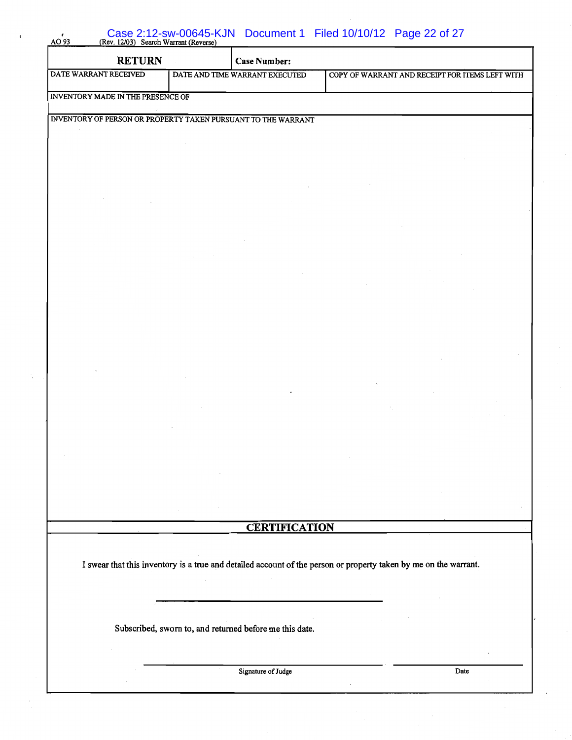| $AO$ 93                                                       |                                                         | Case 2:12-SW-00645-KJN Document 1 Filed 10/10/12 Page 22 of 27<br>(Rev. 12/03) Search Warrant (Reverse)          |
|---------------------------------------------------------------|---------------------------------------------------------|------------------------------------------------------------------------------------------------------------------|
| <b>RETURN</b>                                                 | <b>Case Number:</b>                                     |                                                                                                                  |
| DATE WARRANT RECEIVED                                         | DATE AND TIME WARRANT EXECUTED                          | COPY OF WARRANT AND RECEIPT FOR ITEMS LEFT WITH                                                                  |
| INVENTORY MADE IN THE PRESENCE OF                             |                                                         |                                                                                                                  |
| INVENTORY OF PERSON OR PROPERTY TAKEN PURSUANT TO THE WARRANT |                                                         |                                                                                                                  |
|                                                               |                                                         |                                                                                                                  |
|                                                               |                                                         |                                                                                                                  |
|                                                               |                                                         |                                                                                                                  |
|                                                               |                                                         |                                                                                                                  |
|                                                               |                                                         |                                                                                                                  |
|                                                               |                                                         |                                                                                                                  |
|                                                               |                                                         |                                                                                                                  |
|                                                               |                                                         |                                                                                                                  |
|                                                               |                                                         |                                                                                                                  |
|                                                               |                                                         |                                                                                                                  |
|                                                               |                                                         |                                                                                                                  |
|                                                               |                                                         |                                                                                                                  |
|                                                               |                                                         |                                                                                                                  |
|                                                               |                                                         |                                                                                                                  |
|                                                               |                                                         |                                                                                                                  |
|                                                               |                                                         |                                                                                                                  |
|                                                               |                                                         |                                                                                                                  |
|                                                               |                                                         |                                                                                                                  |
|                                                               |                                                         |                                                                                                                  |
|                                                               |                                                         |                                                                                                                  |
|                                                               |                                                         |                                                                                                                  |
|                                                               | <b>CERTIFICATION</b>                                    |                                                                                                                  |
|                                                               |                                                         |                                                                                                                  |
|                                                               |                                                         | I swear that this inventory is a true and detailed account of the person or property taken by me on the warrant. |
|                                                               |                                                         |                                                                                                                  |
|                                                               |                                                         |                                                                                                                  |
|                                                               | Subscribed, sworn to, and returned before me this date. |                                                                                                                  |
|                                                               |                                                         |                                                                                                                  |
|                                                               |                                                         |                                                                                                                  |
|                                                               | Signature of Judge                                      | Date                                                                                                             |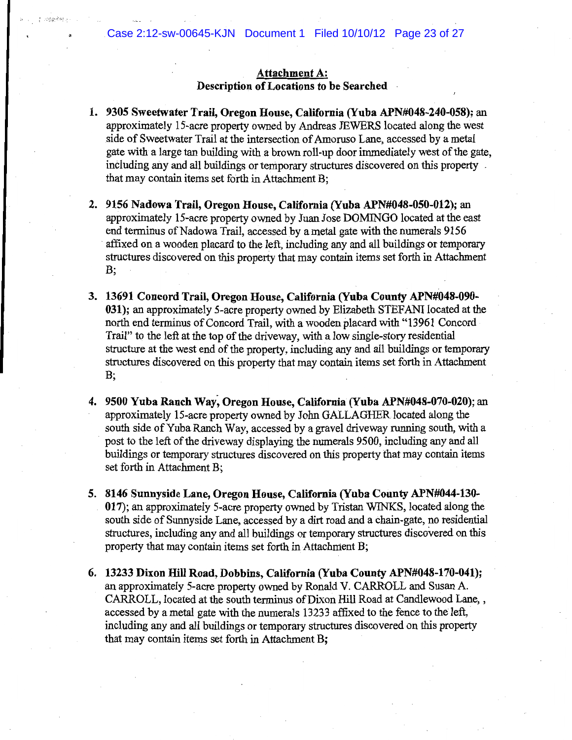## Attachment A: Description of Locations to be Searched

- 1. 9305 Sweetwater Trail, Oregon House, California (Yuba APN#048-240-058); an approximately 15-acre property owned by Andreas JEWERS located along the west side of Sweetwater Trail at the intersection of Amoruso Lane, accessed by a metal gate with a large tan building with a brown roll-up door immediately west of the gate, including any and all buildings or temporary structures discovered on this property. that may contain items set forth in Attachment B;
- 2. 9156 Nadowa Trail, Oregon House, California (Yuba APN#048-050-012); an approximately 15-acre property owned by Juan Jose DOMINGO located at the east end terminus of Nadowa Trail, accessed by a metal gate with the numerals 9156 affixed on a wooden placard to the left, including any and all buildings or temporary structures discovered on this property that may contain items set forth in Attachment  $B:$
- 3. 13691 Concord Trail, Oregon House, California (Yuba County APN#048-090-031); an approximately 5-acre property owned by Elizabeth STEFANI located at the north end terminus of Concord Trail, with a wooden placard with "13961 Concord Trail" to the left at the top of the driveway, with a low single-story residential structure at the west end of the property, including any and all buildings or temporary structures discovered on this property that may contain items set forth in Attachment **B**;
- 4. 9500 Yuba Ranch Way, Oregon House, California (Yuba APN#048-070-020); an approximately 15-acre property owned by John GALLAGHER located along the south side of Yuba Ranch Way, accessed by a gravel driveway running south, with a post to the left of the driveway displaying the numerals 9500, including any and all buildings or temporary structures discovered on this property that may contain items set forth in Attachment B;
- 5. 8146 Sunnyside Lane, Oregon House, California (Yuba County APN#044-130-017); an approximately 5-acre property owned by Tristan WINKS, located along the south side of Sunnyside Lane, accessed by a dirt road and a chain-gate, no residential structures, including any and all buildings or temporary structures discovered on this property that may contain items set forth in Attachment B;
- 6. 13233 Dixon Hill Road, Dobbins, California (Yuba County APN#048-170-041); an approximately 5-acre property owned by Ronald V. CARROLL and Susan A. CARROLL, located at the south terminus of Dixon Hill Road at Candlewood Lane, , accessed by a metal gate with the numerals 13233 affixed to the fence to the left, including any and all buildings or temporary structures discovered on this property that may contain items set forth in Attachment B: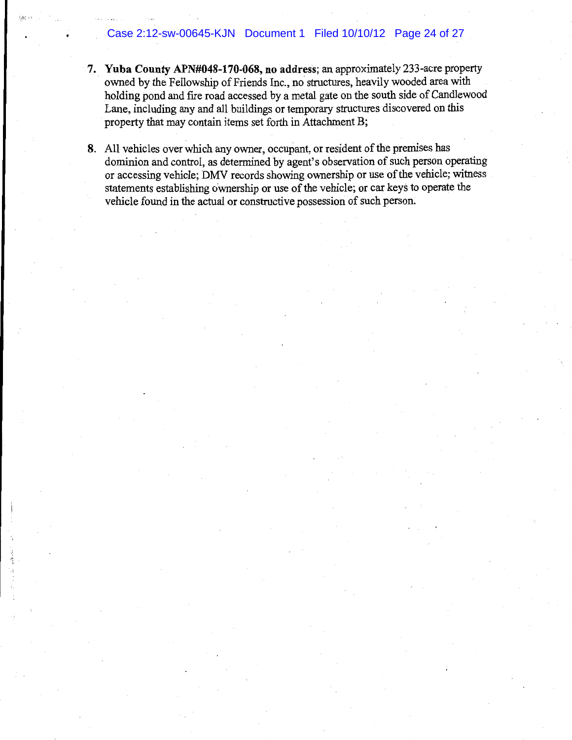## Case 2:12-sw-00645-KJN Document 1 Filed 10/10/12 Page 24 of 27

- 7. Yuba County APN#048-170-068, no address; an approximately 233-acre property owned by the Fellowship of Friends Inc., no structures, heavily wooded area with holding pond and fire road accessed by a metal gate on the south side of Candlewood Lane, including any and all buildings or temporary structures discovered on this property that may contain items set forth in Attachment B;
- 8. All vehicles over which any owner, occupant, or resident of the premises has dominion and control, as determined by agent's observation of such person operating or accessing vehicle; DMV records showing ownership or use of the vehicle; witness statements establishing ownership or use of the vehicle; or car keys to operate the vehicle found in the actual or constructive possession of such person.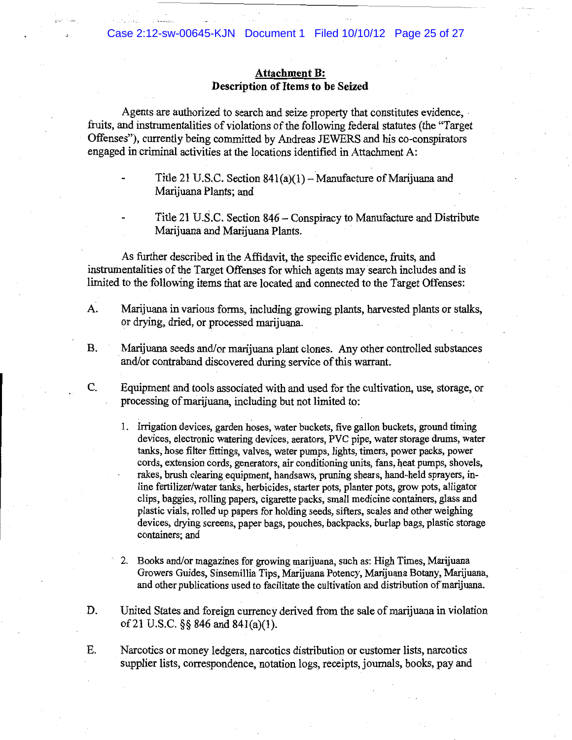## **Attachment B:** Description of Items to be Seized

Agents are authorized to search and seize property that constitutes evidence, fruits, and instrumentalities of violations of the following federal statutes (the "Target" Offenses"), currently being committed by Andreas JEWERS and his co-conspirators engaged in criminal activities at the locations identified in Attachment A:

> Title 21 U.S.C. Section  $841(a)(1)$  – Manufacture of Marijuana and Marijuana Plants; and

Title 21 U.S.C. Section 846 - Conspiracy to Manufacture and Distribute Marijuana and Marijuana Plants.

As further described in the Affidavit, the specific evidence, fruits, and instrumentalities of the Target Offenses for which agents may search includes and is limited to the following items that are located and connected to the Target Offenses:

- A. Marijuana in various forms, including growing plants, harvested plants or stalks, or drying, dried, or processed marijuana.
- **B.** Marijuana seeds and/or marijuana plant clones. Any other controlled substances and/or contraband discovered during service of this warrant.

 $C_{\cdot}$ 

- Equipment and tools associated with and used for the cultivation, use, storage, or processing of marijuana, including but not limited to:
	- 1. Irrigation devices, garden hoses, water buckets, five gallon buckets, ground timing devices, electronic watering devices, aerators, PVC pipe, water storage drums, water tanks, hose filter fittings, valves, water pumps, lights, timers, power packs, power cords, extension cords, generators, air conditioning units, fans, heat pumps, shovels, rakes, brush clearing equipment, handsaws, pruning shears, hand-held sprayers, inline fertilizer/water tanks, herbicides, starter pots, planter pots, grow pots, alligator clips, baggies, rolling papers, cigarette packs, small medicine containers, glass and plastic vials, rolled up papers for holding seeds, sifters, scales and other weighing devices, drying screens, paper bags, pouches, backpacks, burlap bags, plastic storage containers; and
	- 2. Books and/or magazines for growing marijuana, such as: High Times, Marijuana Growers Guides, Sinsemillia Tips, Marijuana Potency, Marijuana Botany, Marijuana, and other publications used to facilitate the cultivation and distribution of marijuana.
- D. United States and foreign currency derived from the sale of marijuana in violation of 21 U.S.C. §§ 846 and 841(a)(1).
- E. Narcotics or money ledgers, narcotics distribution or customer lists, narcotics supplier lists, correspondence, notation logs, receipts, journals, books, pay and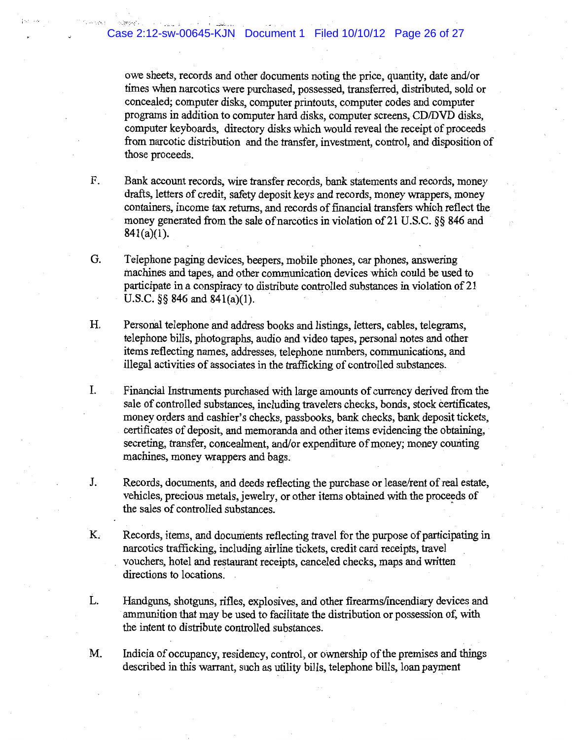owe sheets, records and other documents noting the price, quantity, date and/or times when narcotics were purchased, possessed, transferred, distributed, sold or concealed; computer disks, computer printouts, computer codes and computer programs in addition to computer hard disks, computer screens, CD/DVD disks, computer keyboards, directory disks which would reveal the receipt of proceeds from narcotic distribution and the transfer, investment, control, and disposition of those proceeds.

- F. Bank account records, wire transfer records, bank statements and records, money drafts, letters of credit, safety deposit keys and records, money wrappers, money containers, income tax returns, and records of financial transfers which reflect the money generated from the sale of narcotics in violation of 21 U.S.C. §§ 846 and  $841(a)(1)$ .
- G. Telephone paging devices, beepers, mobile phones, car phones, answering machines and tapes, and other communication devices which could be used to participate in a conspiracy to distribute controlled substances in violation of 21 U.S.C.  $\S$ § 846 and 841(a)(1).
- Η. Personal telephone and address books and listings, letters, cables, telegrams, telephone bills, photographs, audio and video tapes, personal notes and other items reflecting names, addresses, telephone numbers, communications, and illegal activities of associates in the trafficking of controlled substances.
- I. Financial Instruments purchased with large amounts of currency derived from the sale of controlled substances, including travelers checks, bonds, stock certificates, money orders and cashier's checks, passbooks, bank checks, bank deposit tickets, certificates of deposit, and memoranda and other items evidencing the obtaining, secreting, transfer, concealment, and/or expenditure of money; money counting machines, money wrappers and bags.
- J. Records, documents, and deeds reflecting the purchase or lease/rent of real estate, vehicles, precious metals, jewelry, or other items obtained with the proceeds of the sales of controlled substances.
- K. Records, items, and documents reflecting travel for the purpose of participating in narcotics trafficking, including airline tickets, credit card receipts, travel vouchers, hotel and restaurant receipts, canceled checks, maps and written directions to locations.
- L. Handguns, shotguns, rifles, explosives, and other firearms/incendiary devices and ammunition that may be used to facilitate the distribution or possession of, with the intent to distribute controlled substances.
- M. Indicia of occupancy, residency, control, or ownership of the premises and things described in this warrant, such as utility bills, telephone bills, loan payment